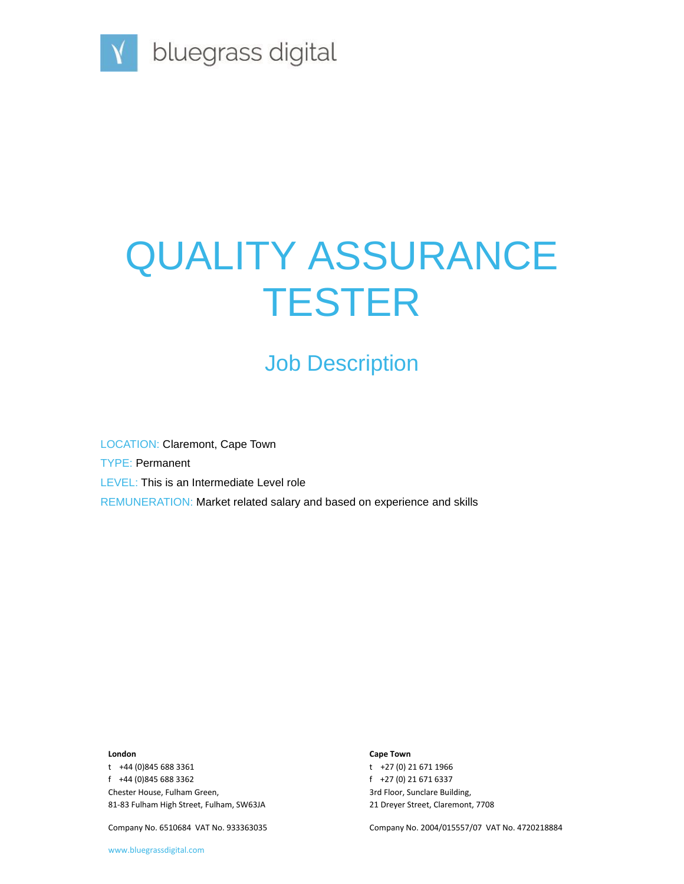

# QUALITY ASSURANCE **TESTER**

# Job Description

LOCATION: Claremont, Cape Town TYPE: Permanent LEVEL: This is an Intermediate Level role REMUNERATION: Market related salary and based on experience and skills

#### **London**

t +44 (0)845 688 3361 f +44 (0)845 688 3362 Chester House, Fulham Green, 81-83 Fulham High Street, Fulham, SW63JA

Company No. 6510684 VAT No. 933363035

#### **Cape Town**

t +27 (0) 21 671 1966 f +27 (0) 21 671 6337 3rd Floor, Sunclare Building, 21 Dreyer Street, Claremont, 7708

Company No. 2004/015557/07 VAT No. 4720218884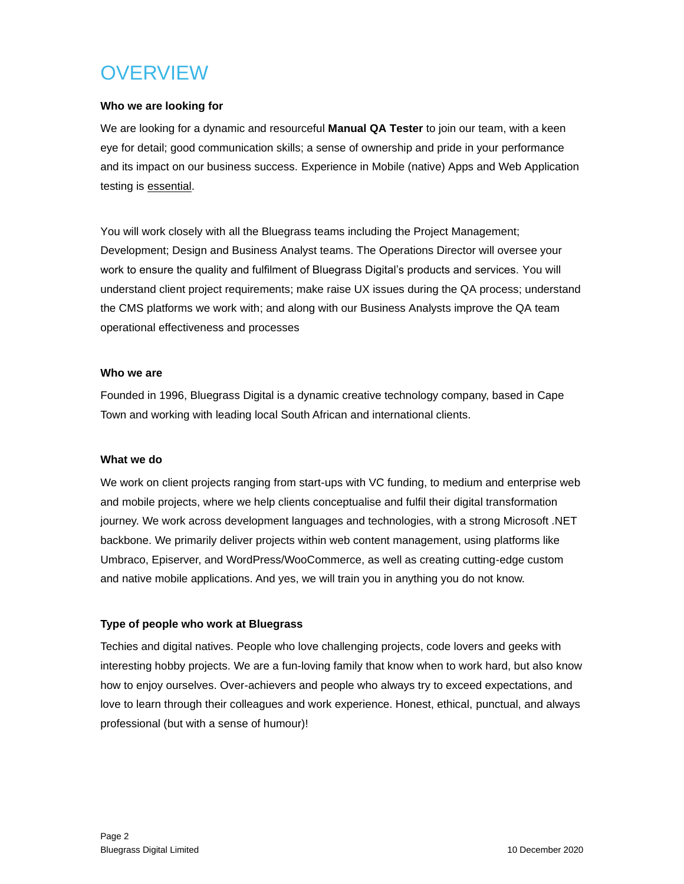# **OVERVIEW**

### **Who we are looking for**

We are looking for a dynamic and resourceful **Manual QA Tester** to join our team, with a keen eye for detail; good communication skills; a sense of ownership and pride in your performance and its impact on our business success. Experience in Mobile (native) Apps and Web Application testing is essential.

You will work closely with all the Bluegrass teams including the Project Management; Development; Design and Business Analyst teams. The Operations Director will oversee your work to ensure the quality and fulfilment of Bluegrass Digital's products and services. You will understand client project requirements; make raise UX issues during the QA process; understand the CMS platforms we work with; and along with our Business Analysts improve the QA team operational effectiveness and processes

### **Who we are**

Founded in 1996, Bluegrass Digital is a dynamic creative technology company, based in Cape Town and working with leading local South African and international clients.

### **What we do**

We work on client projects ranging from start-ups with VC funding, to medium and enterprise web and mobile projects, where we help clients conceptualise and fulfil their digital transformation journey. We work across development languages and technologies, with a strong Microsoft .NET backbone. We primarily deliver projects within web content management, using platforms like Umbraco, Episerver, and WordPress/WooCommerce, as well as creating cutting-edge custom and native mobile applications. And yes, we will train you in anything you do not know.

### **Type of people who work at Bluegrass**

Techies and digital natives. People who love challenging projects, code lovers and geeks with interesting hobby projects. We are a fun-loving family that know when to work hard, but also know how to enjoy ourselves. Over-achievers and people who always try to exceed expectations, and love to learn through their colleagues and work experience. Honest, ethical, punctual, and always professional (but with a sense of humour)!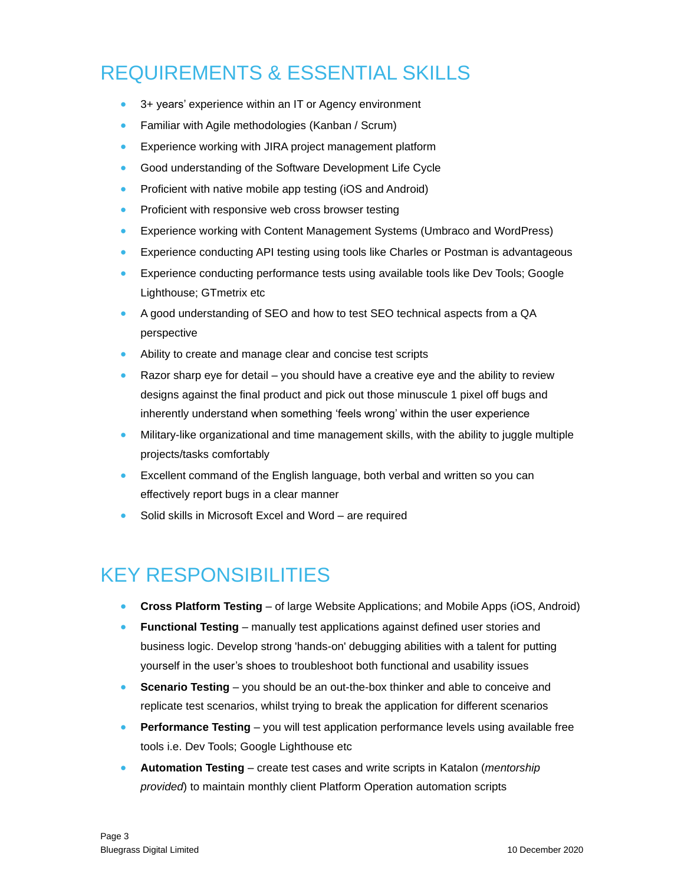### REQUIREMENTS & ESSENTIAL SKILLS

- 3+ years' experience within an IT or Agency environment
- Familiar with Agile methodologies (Kanban / Scrum)
- Experience working with JIRA project management platform
- Good understanding of the Software Development Life Cycle
- Proficient with native mobile app testing (iOS and Android)
- Proficient with responsive web cross browser testing
- Experience working with Content Management Systems (Umbraco and WordPress)
- Experience conducting API testing using tools like Charles or Postman is advantageous
- Experience conducting performance tests using available tools like Dev Tools; Google Lighthouse; GTmetrix etc
- A good understanding of SEO and how to test SEO technical aspects from a QA perspective
- Ability to create and manage clear and concise test scripts
- Razor sharp eye for detail you should have a creative eye and the ability to review designs against the final product and pick out those minuscule 1 pixel off bugs and inherently understand when something 'feels wrong' within the user experience
- Military-like organizational and time management skills, with the ability to juggle multiple projects/tasks comfortably
- Excellent command of the English language, both verbal and written so you can effectively report bugs in a clear manner
- Solid skills in Microsoft Excel and Word are required

### KEY RESPONSIBILITIES

- **Cross Platform Testing** of large Website Applications; and Mobile Apps (iOS, Android)
- **Functional Testing** manually test applications against defined user stories and business logic. Develop strong 'hands-on' debugging abilities with a talent for putting yourself in the user's shoes to troubleshoot both functional and usability issues
- **Scenario Testing** you should be an out-the-box thinker and able to conceive and replicate test scenarios, whilst trying to break the application for different scenarios
- **Performance Testing** you will test application performance levels using available free tools i.e. Dev Tools; Google Lighthouse etc
- **Automation Testing** create test cases and write scripts in Katalon (*mentorship provided*) to maintain monthly client Platform Operation automation scripts